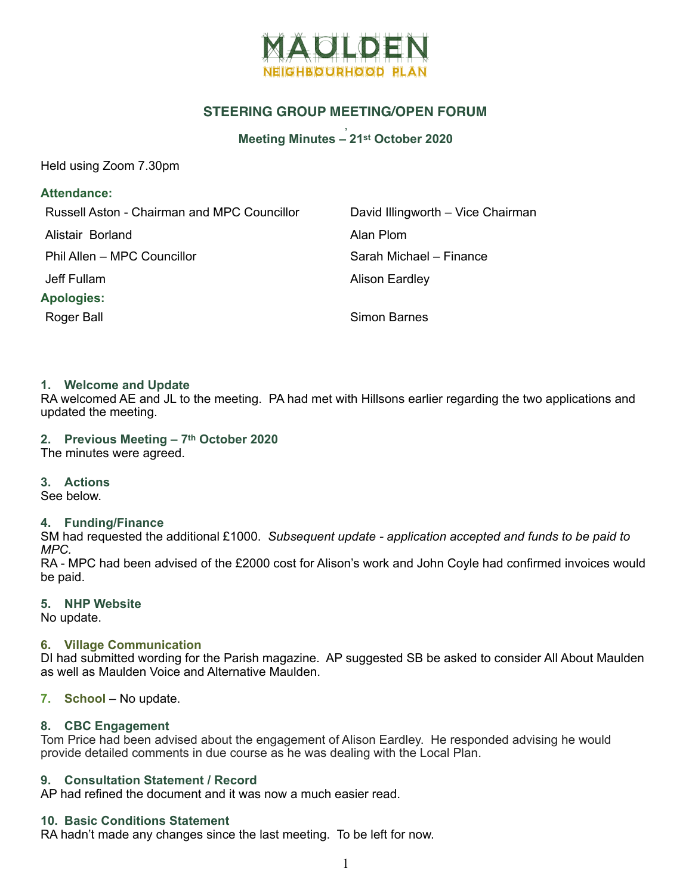

# **STEERING GROUP MEETING/OPEN FORUM**

#### , **Meeting Minutes – 21st October 2020**

Held using Zoom 7.30pm

## **Attendance:**

| Russell Aston - Chairman and MPC Councillor | David Illingworth - Vice Chairman |
|---------------------------------------------|-----------------------------------|
| Alistair Borland                            | Alan Plom                         |
| Phil Allen - MPC Councillor                 | Sarah Michael - Finance           |
| Jeff Fullam                                 | <b>Alison Eardley</b>             |
| <b>Apologies:</b>                           |                                   |
| Roger Ball                                  | Simon Barnes                      |

### **1. Welcome and Update**

RA welcomed AE and JL to the meeting. PA had met with Hillsons earlier regarding the two applications and updated the meeting.

**2. Previous Meeting – 7th October 2020**  The minutes were agreed.

#### **3. Actions**

See below.

#### **4. Funding/Finance**

SM had requested the additional £1000. *Subsequent update - application accepted and funds to be paid to MPC.* 

RA - MPC had been advised of the £2000 cost for Alison's work and John Coyle had confirmed invoices would be paid.

## **5. NHP Website**

No update.

### **6. Village Communication**

DI had submitted wording for the Parish magazine. AP suggested SB be asked to consider All About Maulden as well as Maulden Voice and Alternative Maulden.

### **7. School** – No update.

### **8. CBC Engagement**

Tom Price had been advised about the engagement of Alison Eardley. He responded advising he would provide detailed comments in due course as he was dealing with the Local Plan.

### **9. Consultation Statement / Record**

AP had refined the document and it was now a much easier read.

### **10. Basic Conditions Statement**

RA hadn't made any changes since the last meeting. To be left for now.